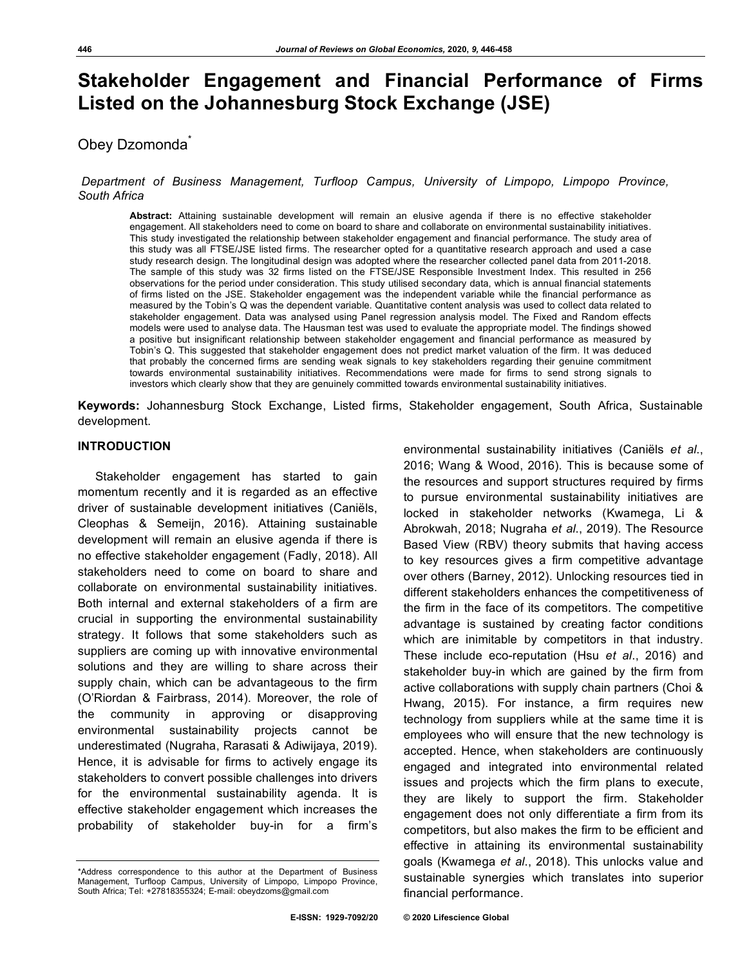# **Stakeholder Engagement and Financial Performance of Firms Listed on the Johannesburg Stock Exchange (JSE)**

# Obey Dzomonda<sup>\*</sup>

# *Department of Business Management, Turfloop Campus, University of Limpopo, Limpopo Province, South Africa*

**Abstract:** Attaining sustainable development will remain an elusive agenda if there is no effective stakeholder engagement. All stakeholders need to come on board to share and collaborate on environmental sustainability initiatives. This study investigated the relationship between stakeholder engagement and financial performance. The study area of this study was all FTSE/JSE listed firms. The researcher opted for a quantitative research approach and used a case study research design. The longitudinal design was adopted where the researcher collected panel data from 2011-2018. The sample of this study was 32 firms listed on the FTSE/JSE Responsible Investment Index. This resulted in 256 observations for the period under consideration. This study utilised secondary data, which is annual financial statements of firms listed on the JSE. Stakeholder engagement was the independent variable while the financial performance as measured by the Tobin's Q was the dependent variable. Quantitative content analysis was used to collect data related to stakeholder engagement. Data was analysed using Panel regression analysis model. The Fixed and Random effects models were used to analyse data. The Hausman test was used to evaluate the appropriate model. The findings showed a positive but insignificant relationship between stakeholder engagement and financial performance as measured by Tobin's Q. This suggested that stakeholder engagement does not predict market valuation of the firm. It was deduced that probably the concerned firms are sending weak signals to key stakeholders regarding their genuine commitment towards environmental sustainability initiatives. Recommendations were made for firms to send strong signals to investors which clearly show that they are genuinely committed towards environmental sustainability initiatives.

**Keywords:** Johannesburg Stock Exchange, Listed firms, Stakeholder engagement, South Africa, Sustainable development.

# **INTRODUCTION**

Stakeholder engagement has started to gain momentum recently and it is regarded as an effective driver of sustainable development initiatives (Caniëls, Cleophas & Semeijn, 2016). Attaining sustainable development will remain an elusive agenda if there is no effective stakeholder engagement (Fadly, 2018). All stakeholders need to come on board to share and collaborate on environmental sustainability initiatives. Both internal and external stakeholders of a firm are crucial in supporting the environmental sustainability strategy. It follows that some stakeholders such as suppliers are coming up with innovative environmental solutions and they are willing to share across their supply chain, which can be advantageous to the firm (O'Riordan & Fairbrass, 2014). Moreover, the role of the community in approving or disapproving environmental sustainability projects cannot be underestimated (Nugraha, Rarasati & Adiwijaya, 2019). Hence, it is advisable for firms to actively engage its stakeholders to convert possible challenges into drivers for the environmental sustainability agenda. It is effective stakeholder engagement which increases the probability of stakeholder buy-in for a firm's

2016; Wang & Wood, 2016). This is because some of the resources and support structures required by firms to pursue environmental sustainability initiatives are locked in stakeholder networks (Kwamega, Li & Abrokwah, 2018; Nugraha *et al*., 2019). The Resource Based View (RBV) theory submits that having access to key resources gives a firm competitive advantage over others (Barney, 2012). Unlocking resources tied in different stakeholders enhances the competitiveness of the firm in the face of its competitors. The competitive advantage is sustained by creating factor conditions which are inimitable by competitors in that industry. These include eco-reputation (Hsu *et al*., 2016) and stakeholder buy-in which are gained by the firm from active collaborations with supply chain partners (Choi & Hwang, 2015). For instance, a firm requires new technology from suppliers while at the same time it is employees who will ensure that the new technology is accepted. Hence, when stakeholders are continuously engaged and integrated into environmental related issues and projects which the firm plans to execute, they are likely to support the firm. Stakeholder engagement does not only differentiate a firm from its competitors, but also makes the firm to be efficient and effective in attaining its environmental sustainability goals (Kwamega *et al*., 2018). This unlocks value and sustainable synergies which translates into superior financial performance.

environmental sustainability initiatives (Caniëls *et al*.,

<sup>\*</sup>Address correspondence to this author at the Department of Business Management, Turfloop Campus, University of Limpopo, Limpopo Province, South Africa; Tel: +27818355324; E-mail: obeydzoms@gmail.com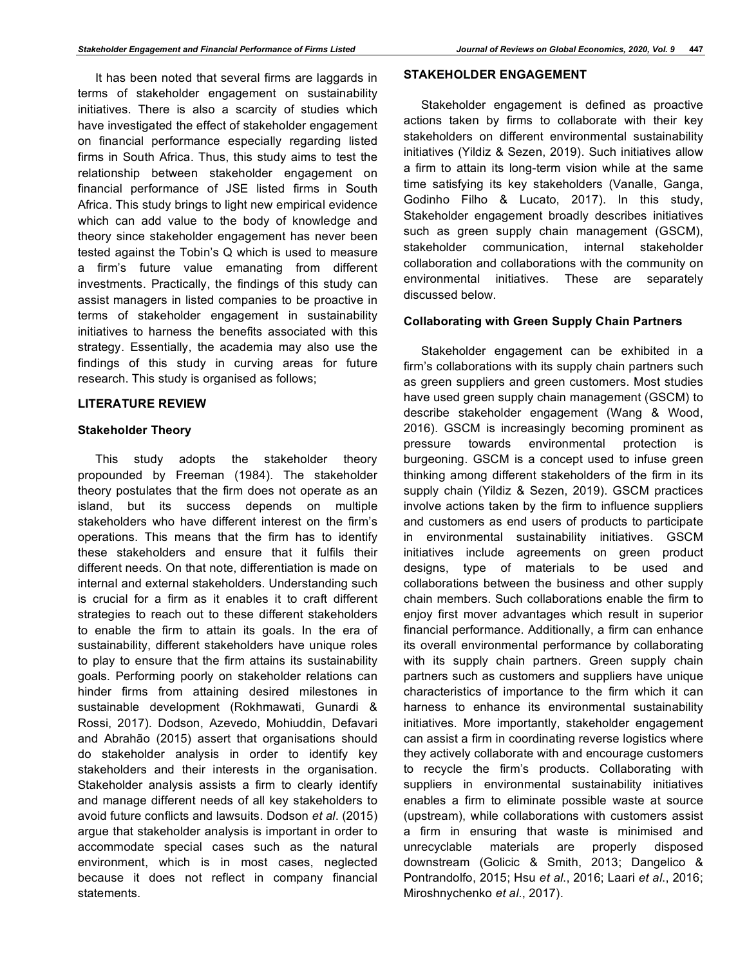It has been noted that several firms are laggards in terms of stakeholder engagement on sustainability initiatives. There is also a scarcity of studies which have investigated the effect of stakeholder engagement on financial performance especially regarding listed firms in South Africa. Thus, this study aims to test the relationship between stakeholder engagement on financial performance of JSE listed firms in South Africa. This study brings to light new empirical evidence which can add value to the body of knowledge and theory since stakeholder engagement has never been tested against the Tobin's Q which is used to measure a firm's future value emanating from different investments. Practically, the findings of this study can assist managers in listed companies to be proactive in terms of stakeholder engagement in sustainability initiatives to harness the benefits associated with this strategy. Essentially, the academia may also use the findings of this study in curving areas for future research. This study is organised as follows;

# **LITERATURE REVIEW**

# **Stakeholder Theory**

This study adopts the stakeholder theory propounded by Freeman (1984). The stakeholder theory postulates that the firm does not operate as an island, but its success depends on multiple stakeholders who have different interest on the firm's operations. This means that the firm has to identify these stakeholders and ensure that it fulfils their different needs. On that note, differentiation is made on internal and external stakeholders. Understanding such is crucial for a firm as it enables it to craft different strategies to reach out to these different stakeholders to enable the firm to attain its goals. In the era of sustainability, different stakeholders have unique roles to play to ensure that the firm attains its sustainability goals. Performing poorly on stakeholder relations can hinder firms from attaining desired milestones in sustainable development (Rokhmawati, Gunardi & Rossi, 2017). Dodson, Azevedo, Mohiuddin, Defavari and Abrahão (2015) assert that organisations should do stakeholder analysis in order to identify key stakeholders and their interests in the organisation. Stakeholder analysis assists a firm to clearly identify and manage different needs of all key stakeholders to avoid future conflicts and lawsuits. Dodson *et al*. (2015) argue that stakeholder analysis is important in order to accommodate special cases such as the natural environment, which is in most cases, neglected because it does not reflect in company financial statements.

# **STAKEHOLDER ENGAGEMENT**

Stakeholder engagement is defined as proactive actions taken by firms to collaborate with their key stakeholders on different environmental sustainability initiatives (Yildiz & Sezen, 2019). Such initiatives allow a firm to attain its long-term vision while at the same time satisfying its key stakeholders (Vanalle, Ganga, Godinho Filho & Lucato, 2017). In this study, Stakeholder engagement broadly describes initiatives such as green supply chain management (GSCM), stakeholder communication, internal stakeholder collaboration and collaborations with the community on environmental initiatives. These are separately discussed below.

# **Collaborating with Green Supply Chain Partners**

Stakeholder engagement can be exhibited in a firm's collaborations with its supply chain partners such as green suppliers and green customers. Most studies have used green supply chain management (GSCM) to describe stakeholder engagement (Wang & Wood, 2016). GSCM is increasingly becoming prominent as pressure towards environmental protection is burgeoning. GSCM is a concept used to infuse green thinking among different stakeholders of the firm in its supply chain (Yildiz & Sezen, 2019). GSCM practices involve actions taken by the firm to influence suppliers and customers as end users of products to participate in environmental sustainability initiatives. GSCM initiatives include agreements on green product designs, type of materials to be used and collaborations between the business and other supply chain members. Such collaborations enable the firm to enjoy first mover advantages which result in superior financial performance. Additionally, a firm can enhance its overall environmental performance by collaborating with its supply chain partners. Green supply chain partners such as customers and suppliers have unique characteristics of importance to the firm which it can harness to enhance its environmental sustainability initiatives. More importantly, stakeholder engagement can assist a firm in coordinating reverse logistics where they actively collaborate with and encourage customers to recycle the firm's products. Collaborating with suppliers in environmental sustainability initiatives enables a firm to eliminate possible waste at source (upstream), while collaborations with customers assist a firm in ensuring that waste is minimised and unrecyclable materials are properly disposed downstream (Golicic & Smith, 2013; Dangelico & Pontrandolfo, 2015; Hsu *et al*., 2016; Laari *et al*., 2016; Miroshnychenko *et al*., 2017).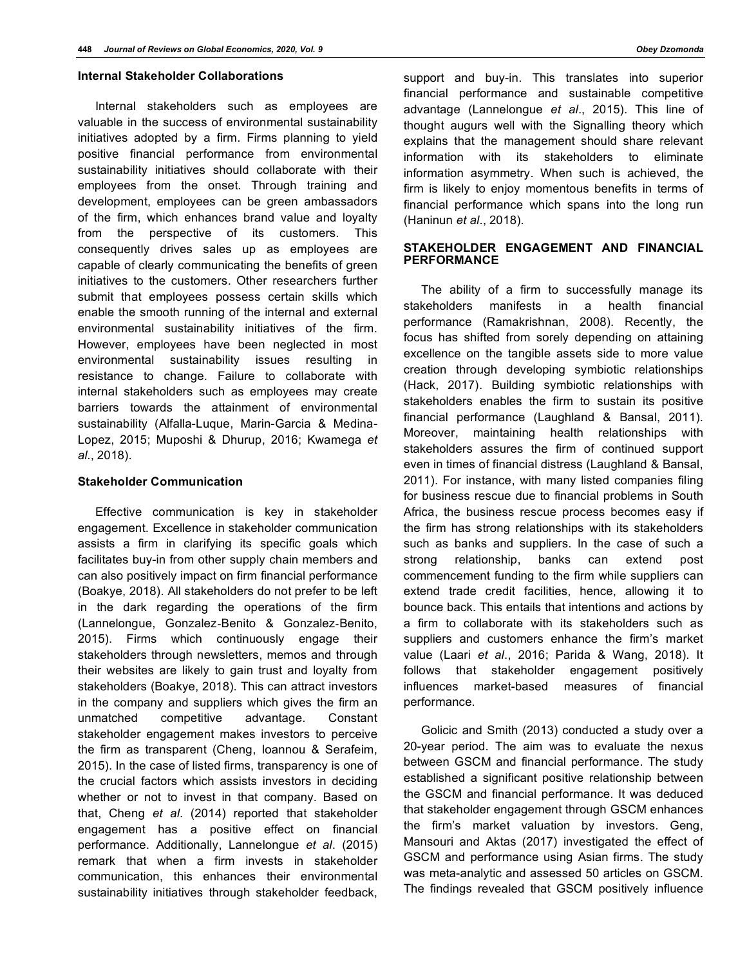#### **Internal Stakeholder Collaborations**

Internal stakeholders such as employees are valuable in the success of environmental sustainability initiatives adopted by a firm. Firms planning to yield positive financial performance from environmental sustainability initiatives should collaborate with their employees from the onset. Through training and development, employees can be green ambassadors of the firm, which enhances brand value and loyalty from the perspective of its customers. This consequently drives sales up as employees are capable of clearly communicating the benefits of green initiatives to the customers. Other researchers further submit that employees possess certain skills which enable the smooth running of the internal and external environmental sustainability initiatives of the firm. However, employees have been neglected in most environmental sustainability issues resulting in resistance to change. Failure to collaborate with internal stakeholders such as employees may create barriers towards the attainment of environmental sustainability (Alfalla-Luque, Marin-Garcia & Medina-Lopez, 2015; Muposhi & Dhurup, 2016; Kwamega *et al*., 2018).

#### **Stakeholder Communication**

Effective communication is key in stakeholder engagement. Excellence in stakeholder communication assists a firm in clarifying its specific goals which facilitates buy-in from other supply chain members and can also positively impact on firm financial performance (Boakye, 2018). All stakeholders do not prefer to be left in the dark regarding the operations of the firm (Lannelongue, Gonzalez**‐**Benito & Gonzalez**‐**Benito, 2015). Firms which continuously engage their stakeholders through newsletters, memos and through their websites are likely to gain trust and loyalty from stakeholders (Boakye, 2018). This can attract investors in the company and suppliers which gives the firm an unmatched competitive advantage. Constant stakeholder engagement makes investors to perceive the firm as transparent (Cheng, Ioannou & Serafeim, 2015). In the case of listed firms, transparency is one of the crucial factors which assists investors in deciding whether or not to invest in that company. Based on that, Cheng *et al*. (2014) reported that stakeholder engagement has a positive effect on financial performance. Additionally, Lannelongue *et al*. (2015) remark that when a firm invests in stakeholder communication, this enhances their environmental sustainability initiatives through stakeholder feedback,

support and buy-in. This translates into superior financial performance and sustainable competitive advantage (Lannelongue *et al*., 2015). This line of thought augurs well with the Signalling theory which explains that the management should share relevant information with its stakeholders to eliminate information asymmetry. When such is achieved, the firm is likely to enjoy momentous benefits in terms of financial performance which spans into the long run (Haninun *et al*., 2018).

# **STAKEHOLDER ENGAGEMENT AND FINANCIAL PERFORMANCE**

The ability of a firm to successfully manage its stakeholders manifests in a health financial performance (Ramakrishnan, 2008). Recently, the focus has shifted from sorely depending on attaining excellence on the tangible assets side to more value creation through developing symbiotic relationships (Hack, 2017). Building symbiotic relationships with stakeholders enables the firm to sustain its positive financial performance (Laughland & Bansal, 2011). Moreover, maintaining health relationships with stakeholders assures the firm of continued support even in times of financial distress (Laughland & Bansal, 2011). For instance, with many listed companies filing for business rescue due to financial problems in South Africa, the business rescue process becomes easy if the firm has strong relationships with its stakeholders such as banks and suppliers. In the case of such a strong relationship, banks can extend post commencement funding to the firm while suppliers can extend trade credit facilities, hence, allowing it to bounce back. This entails that intentions and actions by a firm to collaborate with its stakeholders such as suppliers and customers enhance the firm's market value (Laari *et al*., 2016; Parida & Wang, 2018). It follows that stakeholder engagement positively influences market-based measures of financial performance.

Golicic and Smith (2013) conducted a study over a 20-year period. The aim was to evaluate the nexus between GSCM and financial performance. The study established a significant positive relationship between the GSCM and financial performance. It was deduced that stakeholder engagement through GSCM enhances the firm's market valuation by investors. Geng, Mansouri and Aktas (2017) investigated the effect of GSCM and performance using Asian firms. The study was meta-analytic and assessed 50 articles on GSCM. The findings revealed that GSCM positively influence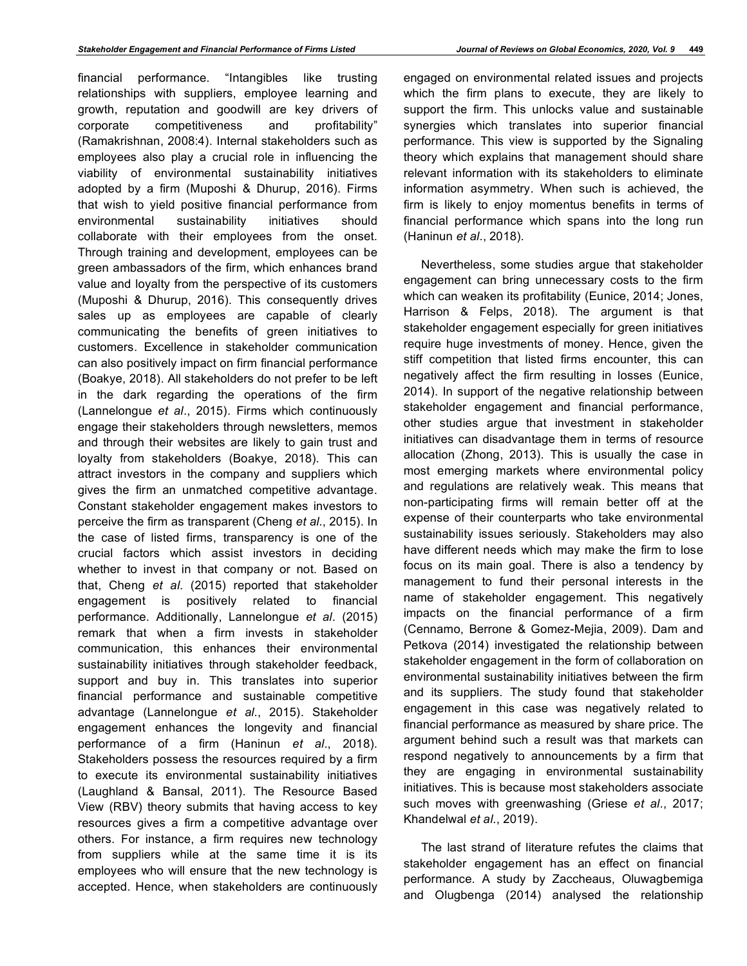financial performance. "Intangibles like trusting relationships with suppliers, employee learning and growth, reputation and goodwill are key drivers of corporate competitiveness and profitability" (Ramakrishnan, 2008:4). Internal stakeholders such as employees also play a crucial role in influencing the viability of environmental sustainability initiatives adopted by a firm (Muposhi & Dhurup, 2016). Firms that wish to yield positive financial performance from environmental sustainability initiatives should collaborate with their employees from the onset. Through training and development, employees can be green ambassadors of the firm, which enhances brand value and loyalty from the perspective of its customers (Muposhi & Dhurup, 2016). This consequently drives sales up as employees are capable of clearly communicating the benefits of green initiatives to customers. Excellence in stakeholder communication can also positively impact on firm financial performance (Boakye, 2018). All stakeholders do not prefer to be left in the dark regarding the operations of the firm (Lannelongue *et al*., 2015). Firms which continuously engage their stakeholders through newsletters, memos and through their websites are likely to gain trust and loyalty from stakeholders (Boakye, 2018). This can attract investors in the company and suppliers which gives the firm an unmatched competitive advantage. Constant stakeholder engagement makes investors to perceive the firm as transparent (Cheng *et al*., 2015). In the case of listed firms, transparency is one of the crucial factors which assist investors in deciding whether to invest in that company or not. Based on that, Cheng *et al*. (2015) reported that stakeholder engagement is positively related to financial performance. Additionally, Lannelongue *et al*. (2015) remark that when a firm invests in stakeholder communication, this enhances their environmental sustainability initiatives through stakeholder feedback, support and buy in. This translates into superior financial performance and sustainable competitive advantage (Lannelongue *et al*., 2015). Stakeholder engagement enhances the longevity and financial performance of a firm (Haninun *et al*., 2018). Stakeholders possess the resources required by a firm to execute its environmental sustainability initiatives (Laughland & Bansal, 2011). The Resource Based View (RBV) theory submits that having access to key resources gives a firm a competitive advantage over others. For instance, a firm requires new technology from suppliers while at the same time it is its employees who will ensure that the new technology is accepted. Hence, when stakeholders are continuously

engaged on environmental related issues and projects which the firm plans to execute, they are likely to support the firm. This unlocks value and sustainable synergies which translates into superior financial performance. This view is supported by the Signaling theory which explains that management should share relevant information with its stakeholders to eliminate information asymmetry. When such is achieved, the firm is likely to enjoy momentus benefits in terms of financial performance which spans into the long run (Haninun *et al*., 2018).

Nevertheless, some studies argue that stakeholder engagement can bring unnecessary costs to the firm which can weaken its profitability (Eunice, 2014; Jones, Harrison & Felps, 2018). The argument is that stakeholder engagement especially for green initiatives require huge investments of money. Hence, given the stiff competition that listed firms encounter, this can negatively affect the firm resulting in losses (Eunice, 2014). In support of the negative relationship between stakeholder engagement and financial performance, other studies argue that investment in stakeholder initiatives can disadvantage them in terms of resource allocation (Zhong, 2013). This is usually the case in most emerging markets where environmental policy and regulations are relatively weak. This means that non-participating firms will remain better off at the expense of their counterparts who take environmental sustainability issues seriously. Stakeholders may also have different needs which may make the firm to lose focus on its main goal. There is also a tendency by management to fund their personal interests in the name of stakeholder engagement. This negatively impacts on the financial performance of a firm (Cennamo, Berrone & Gomez-Mejia, 2009). Dam and Petkova (2014) investigated the relationship between stakeholder engagement in the form of collaboration on environmental sustainability initiatives between the firm and its suppliers. The study found that stakeholder engagement in this case was negatively related to financial performance as measured by share price. The argument behind such a result was that markets can respond negatively to announcements by a firm that they are engaging in environmental sustainability initiatives. This is because most stakeholders associate such moves with greenwashing (Griese *et al*., 2017; Khandelwal *et al*., 2019).

The last strand of literature refutes the claims that stakeholder engagement has an effect on financial performance. A study by Zaccheaus, Oluwagbemiga and Olugbenga (2014) analysed the relationship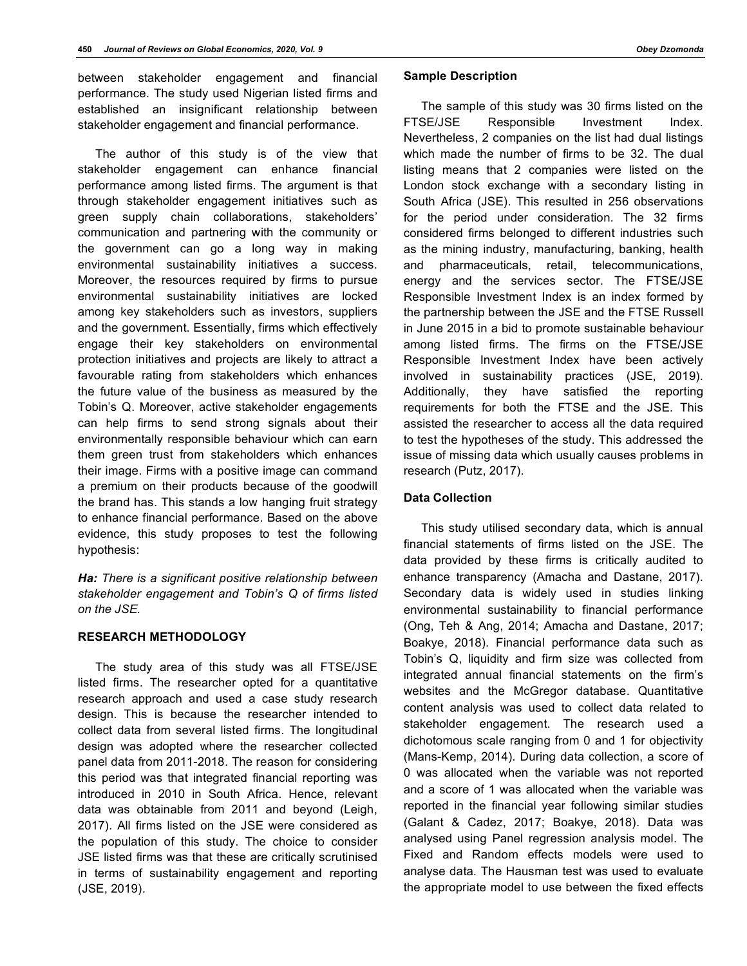between stakeholder engagement and financial performance. The study used Nigerian listed firms and established an insignificant relationship between stakeholder engagement and financial performance.

The author of this study is of the view that stakeholder engagement can enhance financial performance among listed firms. The argument is that through stakeholder engagement initiatives such as green supply chain collaborations, stakeholders' communication and partnering with the community or the government can go a long way in making environmental sustainability initiatives a success. Moreover, the resources required by firms to pursue environmental sustainability initiatives are locked among key stakeholders such as investors, suppliers and the government. Essentially, firms which effectively engage their key stakeholders on environmental protection initiatives and projects are likely to attract a favourable rating from stakeholders which enhances the future value of the business as measured by the Tobin's Q. Moreover, active stakeholder engagements can help firms to send strong signals about their environmentally responsible behaviour which can earn them green trust from stakeholders which enhances their image. Firms with a positive image can command a premium on their products because of the goodwill the brand has. This stands a low hanging fruit strategy to enhance financial performance. Based on the above evidence, this study proposes to test the following hypothesis:

*Ha: There is a significant positive relationship between stakeholder engagement and Tobin's Q of firms listed on the JSE.*

# **RESEARCH METHODOLOGY**

The study area of this study was all FTSE/JSE listed firms. The researcher opted for a quantitative research approach and used a case study research design. This is because the researcher intended to collect data from several listed firms. The longitudinal design was adopted where the researcher collected panel data from 2011-2018. The reason for considering this period was that integrated financial reporting was introduced in 2010 in South Africa. Hence, relevant data was obtainable from 2011 and beyond (Leigh, 2017). All firms listed on the JSE were considered as the population of this study. The choice to consider JSE listed firms was that these are critically scrutinised in terms of sustainability engagement and reporting (JSE, 2019).

#### **Sample Description**

The sample of this study was 30 firms listed on the FTSE/JSE Responsible Investment Index. Nevertheless, 2 companies on the list had dual listings which made the number of firms to be 32. The dual listing means that 2 companies were listed on the London stock exchange with a secondary listing in South Africa (JSE). This resulted in 256 observations for the period under consideration. The 32 firms considered firms belonged to different industries such as the mining industry, manufacturing, banking, health and pharmaceuticals, retail, telecommunications, energy and the services sector. The FTSE/JSE Responsible Investment Index is an index formed by the partnership between the JSE and the FTSE Russell in June 2015 in a bid to promote sustainable behaviour among listed firms. The firms on the FTSE/JSE Responsible Investment Index have been actively involved in sustainability practices (JSE, 2019). Additionally, they have satisfied the reporting requirements for both the FTSE and the JSE. This assisted the researcher to access all the data required to test the hypotheses of the study. This addressed the issue of missing data which usually causes problems in research (Putz, 2017).

# **Data Collection**

This study utilised secondary data, which is annual financial statements of firms listed on the JSE. The data provided by these firms is critically audited to enhance transparency (Amacha and Dastane, 2017). Secondary data is widely used in studies linking environmental sustainability to financial performance (Ong, Teh & Ang, 2014; Amacha and Dastane, 2017; Boakye, 2018). Financial performance data such as Tobin's Q, liquidity and firm size was collected from integrated annual financial statements on the firm's websites and the McGregor database. Quantitative content analysis was used to collect data related to stakeholder engagement. The research used a dichotomous scale ranging from 0 and 1 for objectivity (Mans-Kemp, 2014). During data collection, a score of 0 was allocated when the variable was not reported and a score of 1 was allocated when the variable was reported in the financial year following similar studies (Galant & Cadez, 2017; Boakye, 2018). Data was analysed using Panel regression analysis model. The Fixed and Random effects models were used to analyse data. The Hausman test was used to evaluate the appropriate model to use between the fixed effects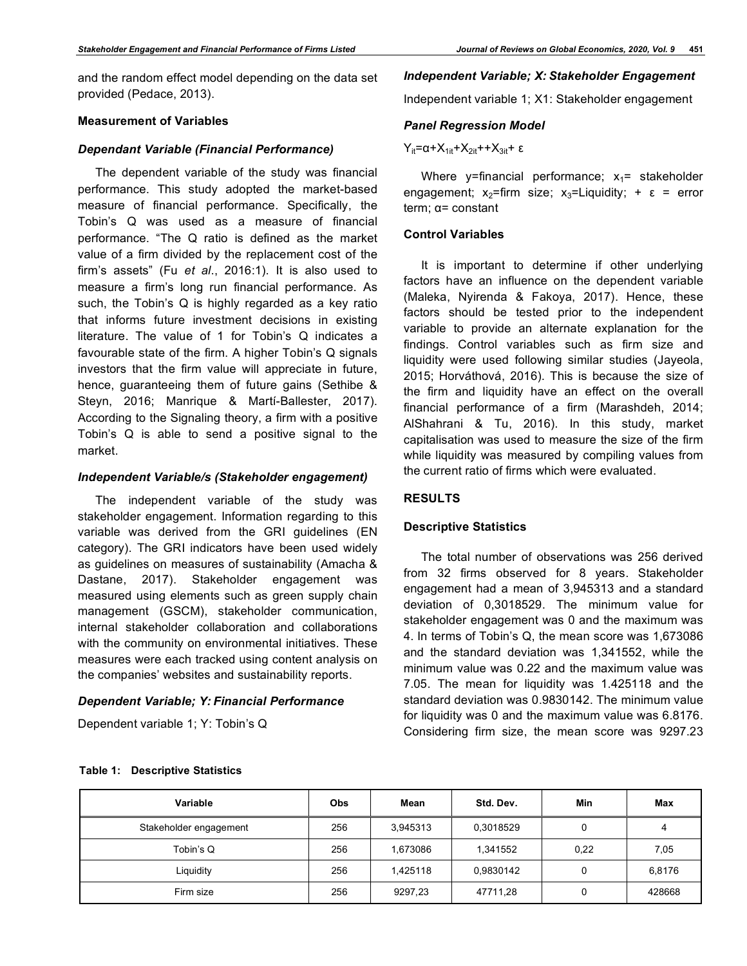and the random effect model depending on the data set provided (Pedace, 2013).

## **Measurement of Variables**

#### *Dependant Variable (Financial Performance)*

The dependent variable of the study was financial performance. This study adopted the market-based measure of financial performance. Specifically, the Tobin's Q was used as a measure of financial performance. "The Q ratio is defined as the market value of a firm divided by the replacement cost of the firm's assets" (Fu *et al*., 2016:1). It is also used to measure a firm's long run financial performance. As such, the Tobin's Q is highly regarded as a key ratio that informs future investment decisions in existing literature. The value of 1 for Tobin's Q indicates a favourable state of the firm. A higher Tobin's Q signals investors that the firm value will appreciate in future, hence, guaranteeing them of future gains (Sethibe & Steyn, 2016; Manrique & Martí-Ballester, 2017). According to the Signaling theory, a firm with a positive Tobin's Q is able to send a positive signal to the market.

#### *Independent Variable/s (Stakeholder engagement)*

The independent variable of the study was stakeholder engagement. Information regarding to this variable was derived from the GRI guidelines (EN category). The GRI indicators have been used widely as guidelines on measures of sustainability (Amacha & Dastane, 2017). Stakeholder engagement was measured using elements such as green supply chain management (GSCM), stakeholder communication, internal stakeholder collaboration and collaborations with the community on environmental initiatives. These measures were each tracked using content analysis on the companies' websites and sustainability reports.

# *Dependent Variable; Y: Financial Performance*

Dependent variable 1; Y: Tobin's Q

# *Independent Variable; X: Stakeholder Engagement*

Independent variable 1; X1: Stakeholder engagement

#### *Panel Regression Model*

# $Y_{it} = \alpha + X_{1it} + X_{2it} + X_{3it} + ε$

Where  $v=$  financial performance;  $x_1$  = stakeholder engagement;  $x_2$ =firm size;  $x_3$ =Liquidity; +  $\varepsilon$  = error term; α= constant

# **Control Variables**

It is important to determine if other underlying factors have an influence on the dependent variable (Maleka, Nyirenda & Fakoya, 2017). Hence, these factors should be tested prior to the independent variable to provide an alternate explanation for the findings. Control variables such as firm size and liquidity were used following similar studies (Jayeola, 2015; Horváthová, 2016). This is because the size of the firm and liquidity have an effect on the overall financial performance of a firm (Marashdeh, 2014; AlShahrani & Tu, 2016). In this study, market capitalisation was used to measure the size of the firm while liquidity was measured by compiling values from the current ratio of firms which were evaluated.

# **RESULTS**

#### **Descriptive Statistics**

The total number of observations was 256 derived from 32 firms observed for 8 years. Stakeholder engagement had a mean of 3,945313 and a standard deviation of 0,3018529. The minimum value for stakeholder engagement was 0 and the maximum was 4. In terms of Tobin's Q, the mean score was 1,673086 and the standard deviation was 1,341552, while the minimum value was 0.22 and the maximum value was 7.05. The mean for liquidity was 1.425118 and the standard deviation was 0.9830142. The minimum value for liquidity was 0 and the maximum value was 6.8176. Considering firm size, the mean score was 9297.23

| Variable               | Obs | Mean     | Std. Dev. | Min  | Max    |
|------------------------|-----|----------|-----------|------|--------|
| Stakeholder engagement | 256 | 3,945313 | 0,3018529 |      | 4      |
| Tobin's Q              | 256 | 1,673086 | 1,341552  | 0,22 | 7,05   |
| Liquidity              | 256 | 1,425118 | 0,9830142 | 0    | 6,8176 |
| Firm size              | 256 | 9297,23  | 47711,28  |      | 428668 |

#### **Table 1: Descriptive Statistics**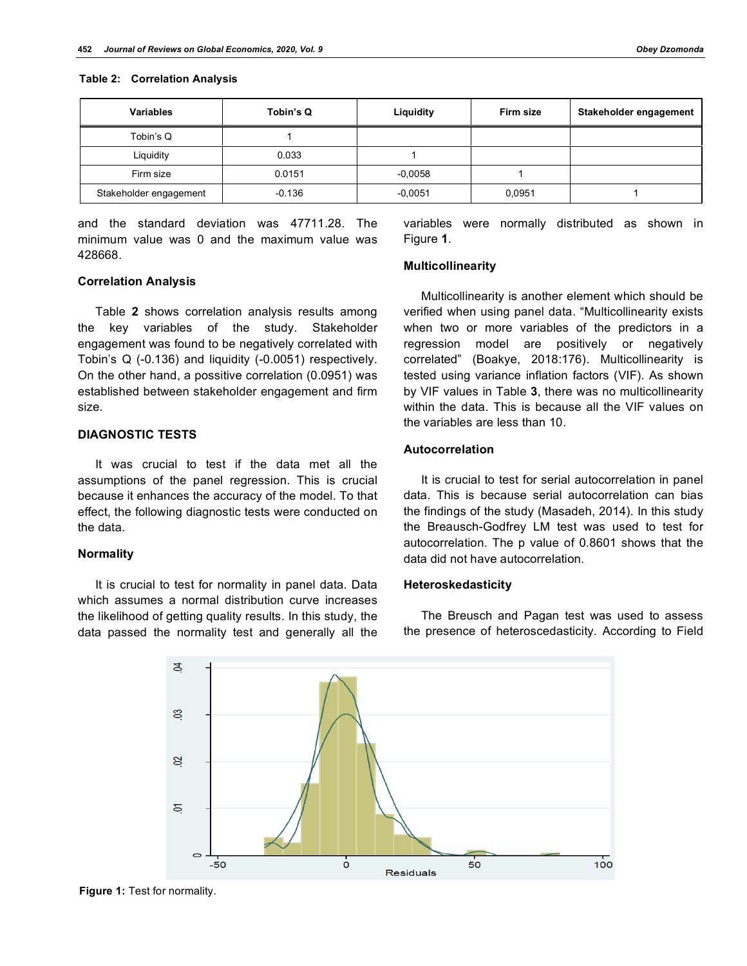| <b>Variables</b>       | Tobin's Q | Liquidity | Firm size | Stakeholder engagement |
|------------------------|-----------|-----------|-----------|------------------------|
| Tobin's Q              |           |           |           |                        |
| Liquidity              | 0.033     |           |           |                        |
| Firm size              | 0.0151    | $-0,0058$ |           |                        |
| Stakeholder engagement | $-0.136$  | $-0,0051$ | 0,0951    |                        |

and the standard deviation was 47711.28. The minimum value was 0 and the maximum value was 428668.

# **Correlation Analysis**

Table **2** shows correlation analysis results among the key variables of the study. Stakeholder engagement was found to be negatively correlated with Tobin's Q (-0.136) and liquidity (-0.0051) respectively. On the other hand, a possitive correlation (0.0951) was established between stakeholder engagement and firm size.

# **DIAGNOSTIC TESTS**

It was crucial to test if the data met all the assumptions of the panel regression. This is crucial because it enhances the accuracy of the model. To that effect, the following diagnostic tests were conducted on the data.

#### **Normality**

It is crucial to test for normality in panel data. Data which assumes a normal distribution curve increases the likelihood of getting quality results. In this study, the data passed the normality test and generally all the variables were normally distributed as shown in Figure **1**.

# **Multicollinearity**

Multicollinearity is another element which should be verified when using panel data. "Multicollinearity exists when two or more variables of the predictors in a regression model are positively or negatively correlated" (Boakye, 2018:176). Multicollinearity is tested using variance inflation factors (VIF). As shown by VIF values in Table **3**, there was no multicollinearity within the data. This is because all the VIF values on the variables are less than 10.

# **Autocorrelation**

It is crucial to test for serial autocorrelation in panel data. This is because serial autocorrelation can bias the findings of the study (Masadeh, 2014). In this study the Breausch-Godfrey LM test was used to test for autocorrelation. The p value of 0.8601 shows that the data did not have autocorrelation.

#### **Heteroskedasticity**

The Breusch and Pagan test was used to assess the presence of heteroscedasticity. According to Field



**Figure 1:** Test for normality.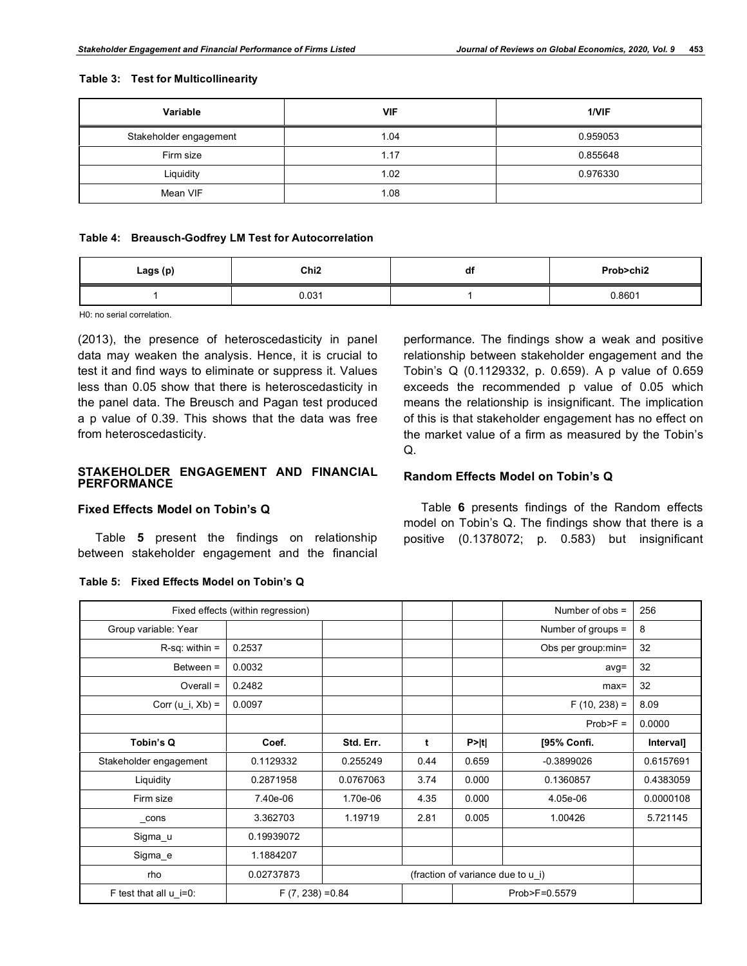#### **Table 3: Test for Multicollinearity**

| Variable               | <b>VIF</b> | 1/VIF    |
|------------------------|------------|----------|
| Stakeholder engagement | 1.04       | 0.959053 |
| Firm size              | 1.17       | 0.855648 |
| Liquidity              | 1.02       | 0.976330 |
| Mean VIF               | 1.08       |          |

#### **Table 4: Breausch-Godfrey LM Test for Autocorrelation**

| Lags (p) | Chi2  | df | Prob>chi2 |  |
|----------|-------|----|-----------|--|
|          | 0.031 |    | 0.8601    |  |

H0: no serial correlation.

(2013), the presence of heteroscedasticity in panel data may weaken the analysis. Hence, it is crucial to test it and find ways to eliminate or suppress it. Values less than 0.05 show that there is heteroscedasticity in the panel data. The Breusch and Pagan test produced a p value of 0.39. This shows that the data was free from heteroscedasticity.

# **STAKEHOLDER ENGAGEMENT AND FINANCIAL PERFORMANCE**

# **Fixed Effects Model on Tobin's Q**

Table **5** present the findings on relationship between stakeholder engagement and the financial

performance. The findings show a weak and positive relationship between stakeholder engagement and the Tobin's Q (0.1129332, p. 0.659). A p value of 0.659 exceeds the recommended p value of 0.05 which means the relationship is insignificant. The implication of this is that stakeholder engagement has no effect on the market value of a firm as measured by the Tobin's Q.

# **Random Effects Model on Tobin's Q**

Table **6** presents findings of the Random effects model on Tobin's Q. The findings show that there is a positive (0.1378072; p. 0.583) but insignificant

|                          | Fixed effects (within regression) |                                   |      |        | Number of $obs =$    | 256       |  |
|--------------------------|-----------------------------------|-----------------------------------|------|--------|----------------------|-----------|--|
| Group variable: Year     |                                   |                                   |      |        | Number of groups $=$ | 8         |  |
| $R-sq$ : within =        | 0.2537                            |                                   |      |        | Obs per group: min=  | 32        |  |
| Between $=$              | 0.0032                            |                                   |      |        | $avg =$              | 32        |  |
| $Overall =$              | 0.2482                            |                                   |      |        | $max=$               | 32        |  |
| Corr (u i, $Xb$ ) =      | 0.0097                            |                                   |      |        | $F(10, 238) =$       | 8.09      |  |
|                          |                                   |                                   |      |        | $Prob>F =$           | 0.0000    |  |
| Tobin's Q                | Coef.                             | Std. Err.                         | t    | P >  t | [95% Confi.          | Interval] |  |
| Stakeholder engagement   | 0.1129332                         | 0.255249                          | 0.44 | 0.659  | $-0.3899026$         | 0.6157691 |  |
| Liquidity                | 0.2871958                         | 0.0767063                         | 3.74 | 0.000  | 0.1360857            | 0.4383059 |  |
| Firm size                | 7.40e-06                          | 1.70e-06                          | 4.35 | 0.000  | 4.05e-06             | 0.0000108 |  |
| $_{\rm cons}$            | 3.362703                          | 1.19719                           | 2.81 | 0.005  | 1.00426              | 5.721145  |  |
| Sigma_u                  | 0.19939072                        |                                   |      |        |                      |           |  |
| Sigma_e                  | 1.1884207                         |                                   |      |        |                      |           |  |
| rho                      | 0.02737873                        | (fraction of variance due to u i) |      |        |                      |           |  |
| F test that all $u$ i=0: |                                   | $F(7, 238) = 0.84$                |      |        | Prob>F=0.5579        |           |  |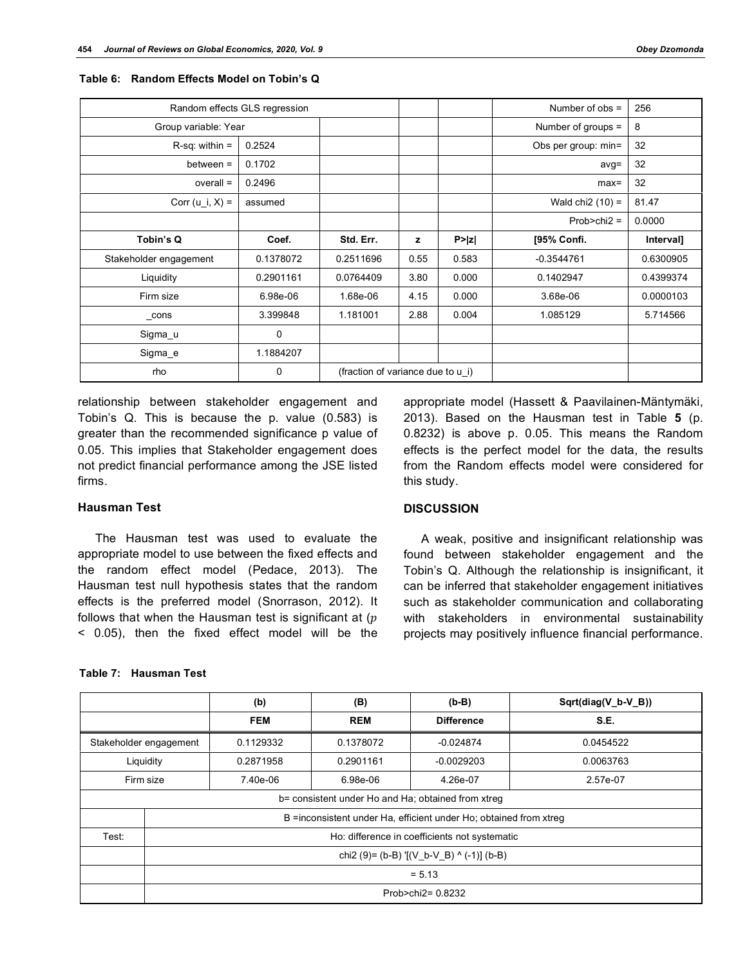| Random effects GLS regression |           |                                   |      | Number of $obs =$    | 256                 |           |
|-------------------------------|-----------|-----------------------------------|------|----------------------|---------------------|-----------|
| Group variable: Year          |           |                                   |      | Number of groups $=$ | 8                   |           |
| $R-sq$ : within =             | 0.2524    |                                   |      |                      | Obs per group: min= | 32        |
| $between =$                   | 0.1702    |                                   |      |                      | $avg =$             | 32        |
| $overall =$                   | 0.2496    |                                   |      |                      | $max=$              | 32        |
| Corr $(u_i, X) =$             | assumed   |                                   |      |                      | Wald chi $2(10) =$  | 81.47     |
|                               |           |                                   |      |                      | $Prob > chi2 =$     | 0.0000    |
| Tobin's Q                     | Coef.     | Std. Err.                         | z    | P >  z               | [95% Confi.         | Interval] |
| Stakeholder engagement        | 0.1378072 | 0.2511696                         | 0.55 | 0.583                | $-0.3544761$        | 0.6300905 |
| Liquidity                     | 0.2901161 | 0.0764409                         | 3.80 | 0.000                | 0.1402947           | 0.4399374 |
| Firm size                     | 6.98e-06  | 1.68e-06                          | 4.15 | 0.000                | 3.68e-06            | 0.0000103 |
| $_{\rm_{\rm}}$ cons           | 3.399848  | 1.181001                          | 2.88 | 0.004                | 1.085129            | 5.714566  |
| Sigma_u                       | 0         |                                   |      |                      |                     |           |
| Sigma_e                       | 1.1884207 |                                   |      |                      |                     |           |
| rho                           | 0         | (fraction of variance due to u i) |      |                      |                     |           |

#### **Table 6: Random Effects Model on Tobin's Q**

relationship between stakeholder engagement and Tobin's Q. This is because the p. value (0.583) is greater than the recommended significance p value of 0.05. This implies that Stakeholder engagement does not predict financial performance among the JSE listed firms.

# **Hausman Test**

The Hausman test was used to evaluate the appropriate model to use between the fixed effects and the random effect model (Pedace, 2013). The Hausman test null hypothesis states that the random effects is the preferred model (Snorrason, 2012). It follows that when the Hausman test is significant at  $(p)$ < 0.05), then the fixed effect model will be the

#### **Table 7: Hausman Test**

appropriate model (Hassett & Paavilainen-Mäntymäki, 2013). Based on the Hausman test in Table **5** (p. 0.8232) is above p. 0.05. This means the Random effects is the perfect model for the data, the results from the Random effects model were considered for this study.

#### **DISCUSSION**

A weak, positive and insignificant relationship was found between stakeholder engagement and the Tobin's Q. Although the relationship is insignificant, it can be inferred that stakeholder engagement initiatives such as stakeholder communication and collaborating with stakeholders in environmental sustainability projects may positively influence financial performance.

|       |                                                                    | (b)        | (B)        | $(b-B)$           | Sqrt(diag(V_b-V_B)) |  |  |  |  |
|-------|--------------------------------------------------------------------|------------|------------|-------------------|---------------------|--|--|--|--|
|       |                                                                    | <b>FEM</b> | <b>REM</b> | <b>Difference</b> | S.E.                |  |  |  |  |
|       | Stakeholder engagement                                             | 0.1129332  | 0.1378072  | $-0.024874$       | 0.0454522           |  |  |  |  |
|       | Liquidity<br>0.2871958                                             |            | 0.2901161  | $-0.0029203$      | 0.0063763           |  |  |  |  |
|       | Firm size                                                          | 7.40e-06   | 6.98e-06   | 4.26e-07          | 2.57e-07            |  |  |  |  |
|       | b= consistent under Ho and Ha; obtained from xtreg                 |            |            |                   |                     |  |  |  |  |
|       | B = inconsistent under Ha, efficient under Ho; obtained from xtreg |            |            |                   |                     |  |  |  |  |
| Test: | Ho: difference in coefficients not systematic                      |            |            |                   |                     |  |  |  |  |
|       | chi2 (9)= (b-B) $[(V_b-V_B)^ (0.4)]$ (b-B)                         |            |            |                   |                     |  |  |  |  |
|       | $= 5.13$                                                           |            |            |                   |                     |  |  |  |  |
|       | Prob>chi2= 0.8232                                                  |            |            |                   |                     |  |  |  |  |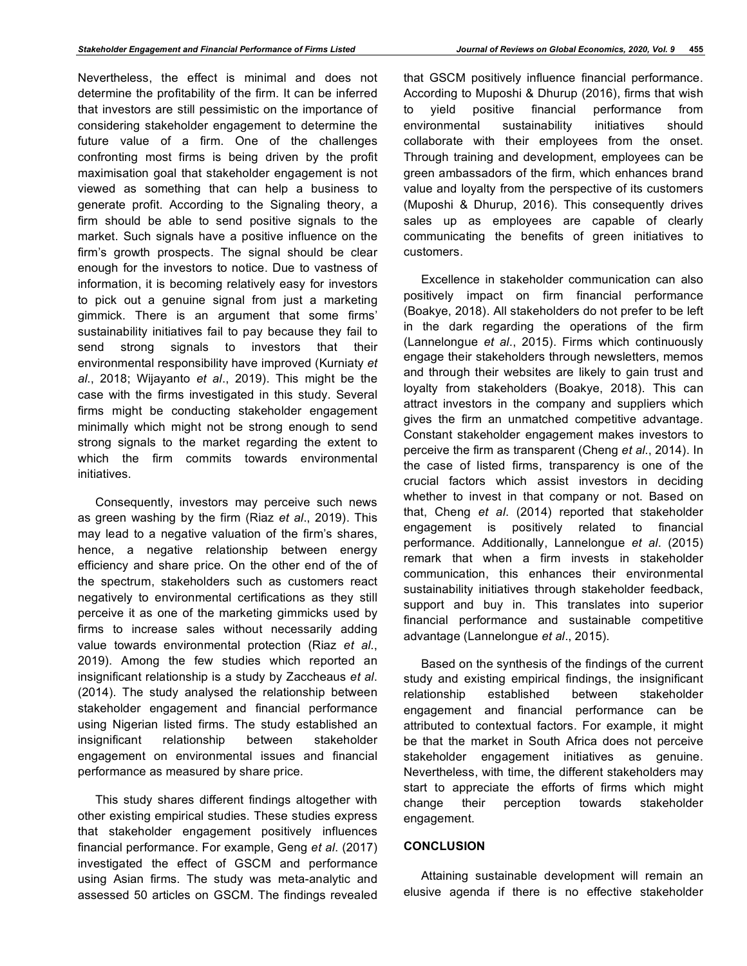Nevertheless, the effect is minimal and does not determine the profitability of the firm. It can be inferred that investors are still pessimistic on the importance of considering stakeholder engagement to determine the future value of a firm. One of the challenges confronting most firms is being driven by the profit maximisation goal that stakeholder engagement is not viewed as something that can help a business to generate profit. According to the Signaling theory, a firm should be able to send positive signals to the market. Such signals have a positive influence on the firm's growth prospects. The signal should be clear enough for the investors to notice. Due to vastness of information, it is becoming relatively easy for investors to pick out a genuine signal from just a marketing gimmick. There is an argument that some firms' sustainability initiatives fail to pay because they fail to send strong signals to investors that their environmental responsibility have improved (Kurniaty *et al*., 2018; Wijayanto *et al*., 2019). This might be the case with the firms investigated in this study. Several firms might be conducting stakeholder engagement minimally which might not be strong enough to send strong signals to the market regarding the extent to which the firm commits towards environmental initiatives.

Consequently, investors may perceive such news as green washing by the firm (Riaz *et al*., 2019). This may lead to a negative valuation of the firm's shares, hence, a negative relationship between energy efficiency and share price. On the other end of the of the spectrum, stakeholders such as customers react negatively to environmental certifications as they still perceive it as one of the marketing gimmicks used by firms to increase sales without necessarily adding value towards environmental protection (Riaz *et al*., 2019). Among the few studies which reported an insignificant relationship is a study by Zaccheaus *et al*. (2014). The study analysed the relationship between stakeholder engagement and financial performance using Nigerian listed firms. The study established an insignificant relationship between stakeholder engagement on environmental issues and financial performance as measured by share price.

This study shares different findings altogether with other existing empirical studies. These studies express that stakeholder engagement positively influences financial performance. For example, Geng *et al*. (2017) investigated the effect of GSCM and performance using Asian firms. The study was meta-analytic and assessed 50 articles on GSCM. The findings revealed

that GSCM positively influence financial performance. According to Muposhi & Dhurup (2016), firms that wish to yield positive financial performance from environmental sustainability initiatives should collaborate with their employees from the onset. Through training and development, employees can be green ambassadors of the firm, which enhances brand value and loyalty from the perspective of its customers (Muposhi & Dhurup, 2016). This consequently drives sales up as employees are capable of clearly communicating the benefits of green initiatives to customers.

Excellence in stakeholder communication can also positively impact on firm financial performance (Boakye, 2018). All stakeholders do not prefer to be left in the dark regarding the operations of the firm (Lannelongue *et al*., 2015). Firms which continuously engage their stakeholders through newsletters, memos and through their websites are likely to gain trust and loyalty from stakeholders (Boakye, 2018). This can attract investors in the company and suppliers which gives the firm an unmatched competitive advantage. Constant stakeholder engagement makes investors to perceive the firm as transparent (Cheng *et al*., 2014). In the case of listed firms, transparency is one of the crucial factors which assist investors in deciding whether to invest in that company or not. Based on that, Cheng *et al*. (2014) reported that stakeholder engagement is positively related to financial performance. Additionally, Lannelongue *et al*. (2015) remark that when a firm invests in stakeholder communication, this enhances their environmental sustainability initiatives through stakeholder feedback, support and buy in. This translates into superior financial performance and sustainable competitive advantage (Lannelongue *et al*., 2015).

Based on the synthesis of the findings of the current study and existing empirical findings, the insignificant relationship established between stakeholder engagement and financial performance can be attributed to contextual factors. For example, it might be that the market in South Africa does not perceive stakeholder engagement initiatives as genuine. Nevertheless, with time, the different stakeholders may start to appreciate the efforts of firms which might change their perception towards stakeholder engagement.

# **CONCLUSION**

Attaining sustainable development will remain an elusive agenda if there is no effective stakeholder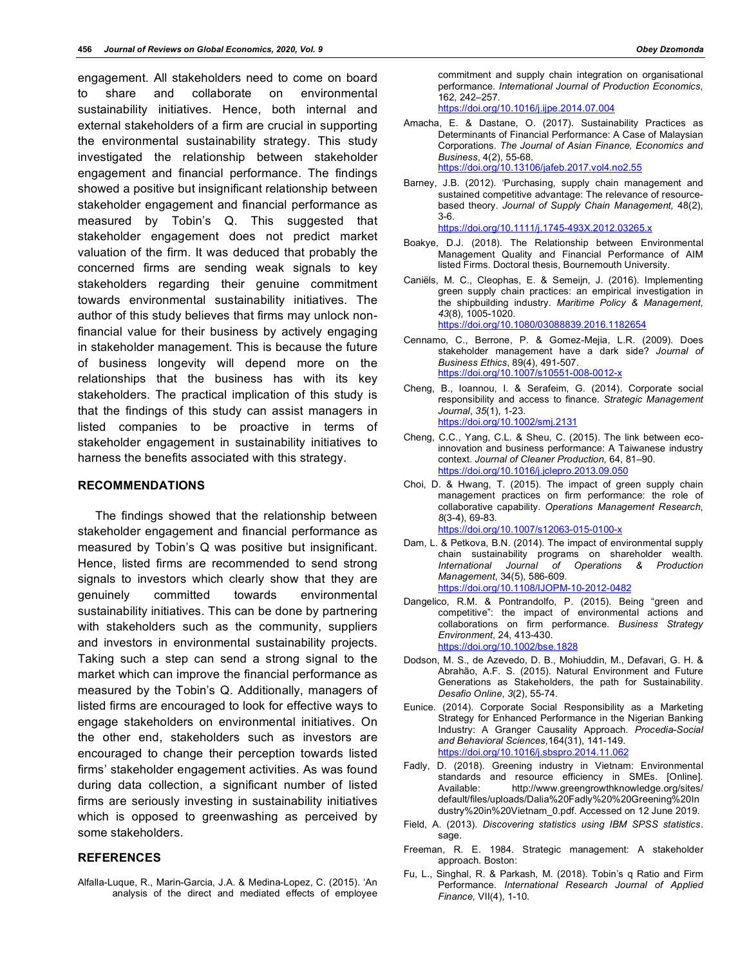engagement. All stakeholders need to come on board to share and collaborate on environmental sustainability initiatives. Hence, both internal and external stakeholders of a firm are crucial in supporting the environmental sustainability strategy. This study investigated the relationship between stakeholder engagement and financial performance. The findings showed a positive but insignificant relationship between stakeholder engagement and financial performance as measured by Tobin's Q. This suggested that stakeholder engagement does not predict market valuation of the firm. It was deduced that probably the concerned firms are sending weak signals to key stakeholders regarding their genuine commitment towards environmental sustainability initiatives. The author of this study believes that firms may unlock nonfinancial value for their business by actively engaging in stakeholder management. This is because the future of business longevity will depend more on the relationships that the business has with its key stakeholders. The practical implication of this study is that the findings of this study can assist managers in listed companies to be proactive in terms of stakeholder engagement in sustainability initiatives to harness the benefits associated with this strategy.

#### **RECOMMENDATIONS**

The findings showed that the relationship between stakeholder engagement and financial performance as measured by Tobin's Q was positive but insignificant. Hence, listed firms are recommended to send strong signals to investors which clearly show that they are genuinely committed towards environmental sustainability initiatives. This can be done by partnering with stakeholders such as the community, suppliers and investors in environmental sustainability projects. Taking such a step can send a strong signal to the market which can improve the financial performance as measured by the Tobin's Q. Additionally, managers of listed firms are encouraged to look for effective ways to engage stakeholders on environmental initiatives. On the other end, stakeholders such as investors are encouraged to change their perception towards listed firms' stakeholder engagement activities. As was found during data collection, a significant number of listed firms are seriously investing in sustainability initiatives which is opposed to greenwashing as perceived by some stakeholders.

# **REFERENCES**

Alfalla-Luque, R., Marin-Garcia, J.A. & Medina-Lopez, C. (2015). 'An analysis of the direct and mediated effects of employee commitment and supply chain integration on organisational performance. *International Journal of Production Economics*, 162, 242–257.

https://doi.org/10.1016/j.ijpe.2014.07.004

Amacha, E. & Dastane, O. (2017). Sustainability Practices as Determinants of Financial Performance: A Case of Malaysian Corporations. *The Journal of Asian Finance, Economics and Business*, 4(2), 55-68. https://doi.org/10.13106/jafeb.2017.vol4.no2.55

Barney, J.B. (2012). 'Purchasing, supply chain management and sustained competitive advantage: The relevance of resourcebased theory. *Journal of Supply Chain Management,* 48(2), 3-6.

https://doi.org/10.1111/j.1745-493X.2012.03265.x

- Boakye, D.J. (2018). The Relationship between Environmental Management Quality and Financial Performance of AIM listed Firms. Doctoral thesis, Bournemouth University.
- Caniëls, M. C., Cleophas, E. & Semeijn, J. (2016). Implementing green supply chain practices: an empirical investigation in the shipbuilding industry. *Maritime Policy & Management*, *43*(8), 1005-1020. https://doi.org/10.1080/03088839.2016.1182654
- Cennamo, C., Berrone, P. & Gomez-Mejia, L.R. (2009). Does stakeholder management have a dark side? *Journal of Business Ethics*, 89(4), 491-507. https://doi.org/10.1007/s10551-008-0012-x
- Cheng, B., Ioannou, I. & Serafeim, G. (2014). Corporate social responsibility and access to finance. *Strategic Management Journal*, *35*(1), 1-23. https://doi.org/10.1002/smj.2131
- Cheng, C.C., Yang, C.L. & Sheu, C. (2015). The link between ecoinnovation and business performance: A Taiwanese industry context. *Journal of Cleaner Production*, 64, 81–90. https://doi.org/10.1016/j.jclepro.2013.09.050
- Choi, D. & Hwang, T. (2015). The impact of green supply chain management practices on firm performance: the role of collaborative capability. *Operations Management Research*, *8*(3-4), 69-83. https://doi.org/10.1007/s12063-015-0100-x
- Dam, L. & Petkova, B.N. (2014). The impact of environmental supply chain sustainability programs on shareholder wealth. *International Journal of Operations & Production Management*, 34(5), 586-609. https://doi.org/10.1108/IJOPM-10-2012-0482
- Dangelico, R.M. & Pontrandolfo, P. (2015). Being "green and competitive": the impact of environmental actions and collaborations on firm performance. *Business Strategy Environment*, 24, 413-430. https://doi.org/10.1002/bse.1828
- Dodson, M. S., de Azevedo, D. B., Mohiuddin, M., Defavari, G. H. & Abrahão, A.F. S. (2015). Natural Environment and Future Generations as Stakeholders, the path for Sustainability. *Desafio Online*, *3*(2), 55-74.
- Eunice. (2014). Corporate Social Responsibility as a Marketing Strategy for Enhanced Performance in the Nigerian Banking Industry: A Granger Causality Approach. *Procedia-Social and Behavioral Sciences*,164(31), 141-149. https://doi.org/10.1016/j.sbspro.2014.11.062
- Fadly, D. (2018). Greening industry in Vietnam: Environmental standards and resource efficiency in SMEs. [Online]. Available: http://www.greengrowthknowledge.org/sites/ default/files/uploads/Dalia%20Fadly%20%20Greening%20In dustry%20in%20Vietnam\_0.pdf. Accessed on 12 June 2019.
- Field, A. (2013). *Discovering statistics using IBM SPSS statistics*. sage.
- Freeman, R. E. 1984. Strategic management: A stakeholder approach. Boston:
- Fu, L., Singhal, R. & Parkash, M. (2018). Tobin's q Ratio and Firm Performance. *International Research Journal of Applied Finance,* VII(4), 1-10.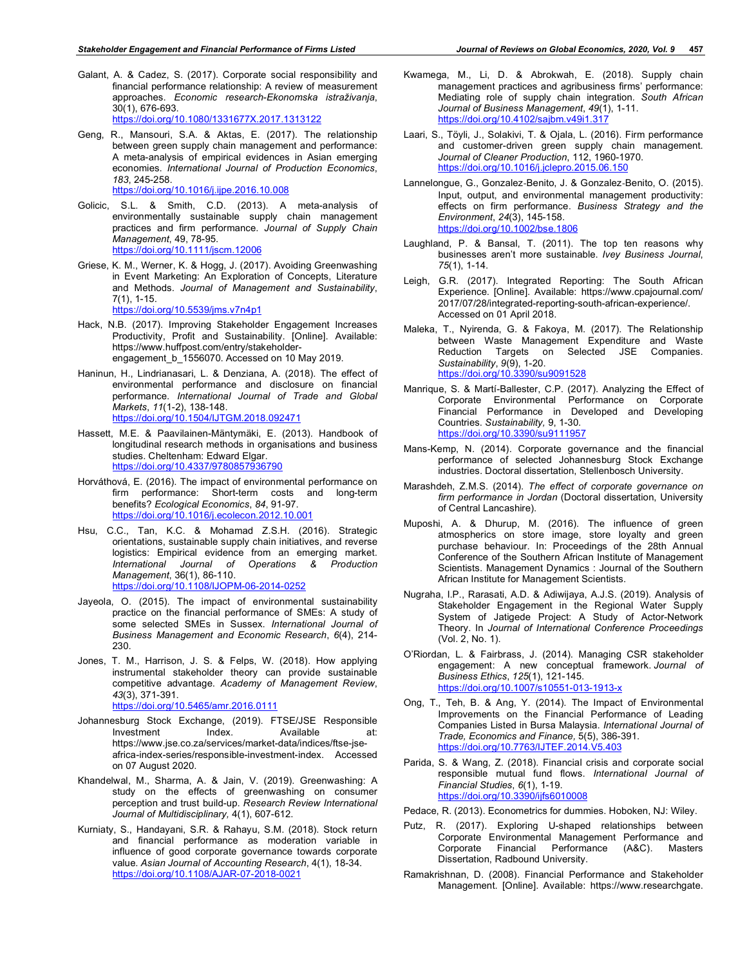- Galant, A. & Cadez, S. (2017). Corporate social responsibility and financial performance relationship: A review of measurement approaches. *Economic research-Ekonomska istraživanja*, 30(1), 676-693. https://doi.org/10.1080/1331677X.2017.1313122
- Geng, R., Mansouri, S.A. & Aktas, E. (2017). The relationship between green supply chain management and performance: A meta-analysis of empirical evidences in Asian emerging economies. *International Journal of Production Economics*, *183*, 245-258. https://doi.org/10.1016/j.ijpe.2016.10.008
- Golicic, S.L. & Smith, C.D. (2013). A meta-analysis of environmentally sustainable supply chain management practices and firm performance. *Journal of Supply Chain Management*, 49, 78-95. https://doi.org/10.1111/jscm.12006
- Griese, K. M., Werner, K. & Hogg, J. (2017). Avoiding Greenwashing in Event Marketing: An Exploration of Concepts, Literature and Methods. *Journal of Management and Sustainability*, 7(1), 1-15.

https://doi.org/10.5539/jms.v7n4p1

- Hack, N.B. (2017). Improving Stakeholder Engagement Increases Productivity, Profit and Sustainability. [Online]. Available: https://www.huffpost.com/entry/stakeholderengagement\_b\_1556070. Accessed on 10 May 2019.
- Haninun, H., Lindrianasari, L. & Denziana, A. (2018). The effect of environmental performance and disclosure on financial performance. *International Journal of Trade and Global Markets*, *11*(1-2), 138-148. https://doi.org/10.1504/IJTGM.2018.092471
- Hassett, M.E. & Paavilainen-Mäntymäki, E. (2013). Handbook of longitudinal research methods in organisations and business studies. Cheltenham: Edward Elgar. https://doi.org/10.4337/9780857936790
- Horváthová, E. (2016). The impact of environmental performance on firm performance: Short-term costs and long-term benefits? *Ecological Economics*, *84*, 91-97. https://doi.org/10.1016/j.ecolecon.2012.10.001
- Hsu, C.C., Tan, K.C. & Mohamad Z.S.H. (2016). Strategic orientations, sustainable supply chain initiatives, and reverse logistics: Empirical evidence from an emerging market. *International Journal of Operations & Production Management*, 36(1), 86-110. https://doi.org/10.1108/IJOPM-06-2014-0252
- Jayeola, O. (2015). The impact of environmental sustainability practice on the financial performance of SMEs: A study of some selected SMEs in Sussex. *International Journal of Business Management and Economic Research*, *6*(4), 214- 230.
- Jones, T. M., Harrison, J. S. & Felps, W. (2018). How applying instrumental stakeholder theory can provide sustainable competitive advantage. *Academy of Management Review*, *43*(3), 371-391. https://doi.org/10.5465/amr.2016.0111
- Johannesburg Stock Exchange, (2019). FTSE/JSE Responsible Investment Index. Available at: https://www.jse.co.za/services/market-data/indices/ftse-jseafrica-index-series/responsible-investment-index. Accessed on 07 August 2020.
- Khandelwal, M., Sharma, A. & Jain, V. (2019). Greenwashing: A study on the effects of greenwashing on consumer perception and trust build-up. *Research Review International Journal of Multidisciplinary,* 4(1), 607-612.
- Kurniaty, S., Handayani, S.R. & Rahayu, S.M. (2018). Stock return and financial performance as moderation variable in influence of good corporate governance towards corporate value. *Asian Journal of Accounting Research*, 4(1), 18-34. https://doi.org/10.1108/AJAR-07-2018-0021
- Kwamega, M., Li, D. & Abrokwah, E. (2018). Supply chain management practices and agribusiness firms' performance: Mediating role of supply chain integration. *South African Journal of Business Management*, *49*(1), 1-11. https://doi.org/10.4102/sajbm.v49i1.317
- Laari, S., Töyli, J., Solakivi, T. & Ojala, L. (2016). Firm performance and customer-driven green supply chain management. *Journal of Cleaner Production*, 112, 1960-1970. https://doi.org/10.1016/j.jclepro.2015.06.150
- Lannelongue, G., Gonzalez**‐**Benito, J. & Gonzalez**‐**Benito, O. (2015). Input, output, and environmental management productivity: effects on firm performance. *Business Strategy and the Environment*, *24*(3), 145-158. https://doi.org/10.1002/bse.1806
- Laughland, P. & Bansal, T. (2011). The top ten reasons why businesses aren't more sustainable. *Ivey Business Journal*, *75*(1), 1-14.
- Leigh, G.R. (2017). Integrated Reporting: The South African Experience. [Online]. Available: https://www.cpajournal.com/ 2017/07/28/integrated-reporting-south-african-experience/. Accessed on 01 April 2018.
- Maleka, T., Nyirenda, G. & Fakoya, M. (2017). The Relationship between Waste Management Expenditure and Waste Reduction Targets on Selected JSE Companies. *Sustainability*, *9*(9), 1-20. https://doi.org/10.3390/su9091528
- Manrique, S. & Martí-Ballester, C.P. (2017). Analyzing the Effect of Corporate Environmental Performance on Corporate Financial Performance in Developed and Developing Countries. *Sustainability,* 9, 1-30. https://doi.org/10.3390/su9111957
- Mans-Kemp, N. (2014). Corporate governance and the financial performance of selected Johannesburg Stock Exchange industries. Doctoral dissertation, Stellenbosch University.
- Marashdeh, Z.M.S. (2014). *The effect of corporate governance on firm performance in Jordan* (Doctoral dissertation, University of Central Lancashire).
- Muposhi, A. & Dhurup, M. (2016). The influence of green atmospherics on store image, store loyalty and green purchase behaviour. In: Proceedings of the 28th Annual Conference of the Southern African Institute of Management Scientists. Management Dynamics : Journal of the Southern African Institute for Management Scientists.
- Nugraha, I.P., Rarasati, A.D. & Adiwijaya, A.J.S. (2019). Analysis of Stakeholder Engagement in the Regional Water Supply System of Jatigede Project: A Study of Actor-Network Theory. In *Journal of International Conference Proceedings* (Vol. 2, No. 1).
- O'Riordan, L. & Fairbrass, J. (2014). Managing CSR stakeholder engagement: A new conceptual framework. *Journal of Business Ethics*, *125*(1), 121-145. https://doi.org/10.1007/s10551-013-1913-x
- Ong, T., Teh, B. & Ang, Y. (2014). The Impact of Environmental Improvements on the Financial Performance of Leading Companies Listed in Bursa Malaysia. *International Journal of Trade, Economics and Finance,* 5(5), 386-391. https://doi.org/10.7763/IJTEF.2014.V5.403
- Parida, S. & Wang, Z. (2018). Financial crisis and corporate social responsible mutual fund flows. *International Journal of Financial Studies*, *6*(1), 1-19. https://doi.org/10.3390/ijfs6010008
- Pedace, R. (2013). Econometrics for dummies. Hoboken, NJ: Wiley.
- Putz, R. (2017). Exploring U-shaped relationships between Corporate Environmental Management Performance and Corporate Financial Performance (A&C). Masters Dissertation, Radbound University.
- Ramakrishnan, D. (2008). Financial Performance and Stakeholder Management. [Online]. Available: https://www.researchgate.